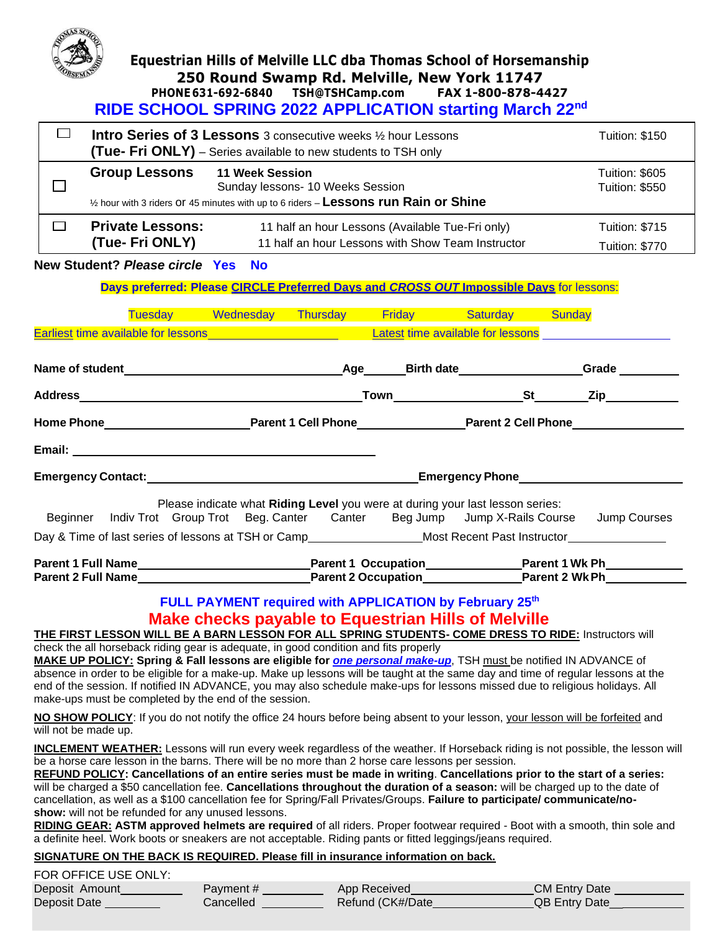

## **Equestrian Hills of Melville LLC dba Thomas School of Horsemanship 250 Round Swamp Rd. Melville, New York 11747 PHONE 631-692-6840 [TSH@TSHCamp.com](mailto:TSH@TSHCamp.com) FAX 1-800-878-4427**

 **RIDE SCHOOL SPRING 2022 APPLICATION starting March 22nd**

| $\Box$                                                                                                                                                                                                                                                                                                                                                                                                                                                                                                                                                                                                                                                                                                                                                                                                                                                                                                                                                                                                                                                                                                                                                                                                                                                                                                                                                                                                                                                                                                                                                                                                                                                                                                                                                                                                                                                                                                                                                                                                                                                                                                                                                                                                       | Intro Series of 3 Lessons 3 consecutive weeks 1/2 hour Lessons<br><b>(Tue- Fri ONLY)</b> – Series available to new students to TSH only     |                                                                                                       | <b>Tuition: \$150</b>                          |  |  |  |
|--------------------------------------------------------------------------------------------------------------------------------------------------------------------------------------------------------------------------------------------------------------------------------------------------------------------------------------------------------------------------------------------------------------------------------------------------------------------------------------------------------------------------------------------------------------------------------------------------------------------------------------------------------------------------------------------------------------------------------------------------------------------------------------------------------------------------------------------------------------------------------------------------------------------------------------------------------------------------------------------------------------------------------------------------------------------------------------------------------------------------------------------------------------------------------------------------------------------------------------------------------------------------------------------------------------------------------------------------------------------------------------------------------------------------------------------------------------------------------------------------------------------------------------------------------------------------------------------------------------------------------------------------------------------------------------------------------------------------------------------------------------------------------------------------------------------------------------------------------------------------------------------------------------------------------------------------------------------------------------------------------------------------------------------------------------------------------------------------------------------------------------------------------------------------------------------------------------|---------------------------------------------------------------------------------------------------------------------------------------------|-------------------------------------------------------------------------------------------------------|------------------------------------------------|--|--|--|
| <b>Group Lessons</b>                                                                                                                                                                                                                                                                                                                                                                                                                                                                                                                                                                                                                                                                                                                                                                                                                                                                                                                                                                                                                                                                                                                                                                                                                                                                                                                                                                                                                                                                                                                                                                                                                                                                                                                                                                                                                                                                                                                                                                                                                                                                                                                                                                                         | 11 Week Session<br>Sunday lessons- 10 Weeks Session<br>1/2 hour with 3 riders Of 45 minutes with up to 6 riders - Lessons run Rain or Shine |                                                                                                       | Tuition: \$605<br><b>Tuition: \$550</b>        |  |  |  |
| <b>Private Lessons:</b><br>$\Box$<br>(Tue- Fri ONLY)                                                                                                                                                                                                                                                                                                                                                                                                                                                                                                                                                                                                                                                                                                                                                                                                                                                                                                                                                                                                                                                                                                                                                                                                                                                                                                                                                                                                                                                                                                                                                                                                                                                                                                                                                                                                                                                                                                                                                                                                                                                                                                                                                         |                                                                                                                                             | 11 half an hour Lessons (Available Tue-Fri only)<br>11 half an hour Lessons with Show Team Instructor | <b>Tuition: \$715</b><br><b>Tuition: \$770</b> |  |  |  |
| New Student? Please circle Yes                                                                                                                                                                                                                                                                                                                                                                                                                                                                                                                                                                                                                                                                                                                                                                                                                                                                                                                                                                                                                                                                                                                                                                                                                                                                                                                                                                                                                                                                                                                                                                                                                                                                                                                                                                                                                                                                                                                                                                                                                                                                                                                                                                               | <b>No</b>                                                                                                                                   |                                                                                                       |                                                |  |  |  |
| Days preferred: Please CIRCLE Preferred Days and CROSS OUT Impossible Days for lessons:                                                                                                                                                                                                                                                                                                                                                                                                                                                                                                                                                                                                                                                                                                                                                                                                                                                                                                                                                                                                                                                                                                                                                                                                                                                                                                                                                                                                                                                                                                                                                                                                                                                                                                                                                                                                                                                                                                                                                                                                                                                                                                                      |                                                                                                                                             |                                                                                                       |                                                |  |  |  |
|                                                                                                                                                                                                                                                                                                                                                                                                                                                                                                                                                                                                                                                                                                                                                                                                                                                                                                                                                                                                                                                                                                                                                                                                                                                                                                                                                                                                                                                                                                                                                                                                                                                                                                                                                                                                                                                                                                                                                                                                                                                                                                                                                                                                              | Tuesday Wednesday Thursday Friday Saturday Sunday                                                                                           |                                                                                                       |                                                |  |  |  |
|                                                                                                                                                                                                                                                                                                                                                                                                                                                                                                                                                                                                                                                                                                                                                                                                                                                                                                                                                                                                                                                                                                                                                                                                                                                                                                                                                                                                                                                                                                                                                                                                                                                                                                                                                                                                                                                                                                                                                                                                                                                                                                                                                                                                              |                                                                                                                                             |                                                                                                       |                                                |  |  |  |
|                                                                                                                                                                                                                                                                                                                                                                                                                                                                                                                                                                                                                                                                                                                                                                                                                                                                                                                                                                                                                                                                                                                                                                                                                                                                                                                                                                                                                                                                                                                                                                                                                                                                                                                                                                                                                                                                                                                                                                                                                                                                                                                                                                                                              |                                                                                                                                             |                                                                                                       |                                                |  |  |  |
|                                                                                                                                                                                                                                                                                                                                                                                                                                                                                                                                                                                                                                                                                                                                                                                                                                                                                                                                                                                                                                                                                                                                                                                                                                                                                                                                                                                                                                                                                                                                                                                                                                                                                                                                                                                                                                                                                                                                                                                                                                                                                                                                                                                                              |                                                                                                                                             |                                                                                                       |                                                |  |  |  |
|                                                                                                                                                                                                                                                                                                                                                                                                                                                                                                                                                                                                                                                                                                                                                                                                                                                                                                                                                                                                                                                                                                                                                                                                                                                                                                                                                                                                                                                                                                                                                                                                                                                                                                                                                                                                                                                                                                                                                                                                                                                                                                                                                                                                              |                                                                                                                                             |                                                                                                       |                                                |  |  |  |
| Email: <u>Alexander Alexander and Alexander Alexander and Alexander and Alexander and Alexander and Alexander and Alexander and Alexander and Alexander and Alexander and Alexander and Alexander and Alexander and Alexander an</u>                                                                                                                                                                                                                                                                                                                                                                                                                                                                                                                                                                                                                                                                                                                                                                                                                                                                                                                                                                                                                                                                                                                                                                                                                                                                                                                                                                                                                                                                                                                                                                                                                                                                                                                                                                                                                                                                                                                                                                         |                                                                                                                                             |                                                                                                       |                                                |  |  |  |
| Emergency Contact: Emergency Phone Contact: All Contacts of Contacts and Contacts of Contacts and Contacts of Contacts and Contacts and Contacts of Contacts and Contacts and Contacts and Contacts and Contacts and Contacts                                                                                                                                                                                                                                                                                                                                                                                                                                                                                                                                                                                                                                                                                                                                                                                                                                                                                                                                                                                                                                                                                                                                                                                                                                                                                                                                                                                                                                                                                                                                                                                                                                                                                                                                                                                                                                                                                                                                                                                |                                                                                                                                             |                                                                                                       |                                                |  |  |  |
| Please indicate what Riding Level you were at during your last lesson series:<br>Beginner Indiv Trot Group Trot Beg. Canter Canter Beg Jump Jump X-Rails Course<br>Jump Courses<br>Day & Time of last series of lessons at TSH or Camp________________________Most Recent Past Instructor______________                                                                                                                                                                                                                                                                                                                                                                                                                                                                                                                                                                                                                                                                                                                                                                                                                                                                                                                                                                                                                                                                                                                                                                                                                                                                                                                                                                                                                                                                                                                                                                                                                                                                                                                                                                                                                                                                                                      |                                                                                                                                             |                                                                                                       |                                                |  |  |  |
| Parent 1 Full Name <b>Manual Construction</b> Parent 1 Occupation <b>Manual Construction</b> Parent 1 Wk Ph North Construction  Denote a Parent 1 Wk Ph North Construction  Denote a Parent 1 Wk Ph North Construction  Denote a Parent                                                                                                                                                                                                                                                                                                                                                                                                                                                                                                                                                                                                                                                                                                                                                                                                                                                                                                                                                                                                                                                                                                                                                                                                                                                                                                                                                                                                                                                                                                                                                                                                                                                                                                                                                                                                                                                                                                                                                                      |                                                                                                                                             |                                                                                                       |                                                |  |  |  |
| Parent 2 Full Name <b>Market 2 Full Name The Convention</b> Parent 2 Occupation Parent 2 Full Name <b>Parent 2 Wk Ph Parent 2 Wk Ph Parent 2 Wk Ph Parent 2 Wk Ph Parent 2 Wk Ph Parent 2 Wk Ph Parent 2 Wk Ph Parent 2</b><br>FULL PAYMENT required with APPLICATION by February 25th<br><b>Make checks payable to Equestrian Hills of Melville</b><br><b>THE FIRST LESSON WILL BE A BARN LESSON FOR ALL SPRING STUDENTS- COME DRESS TO RIDE:</b> Instructors will<br>check the all horseback riding gear is adequate, in good condition and fits properly<br>MAKE UP POLICY: Spring & Fall lessons are eligible for <i>one personal make-up</i> , TSH must be notified IN ADVANCE of<br>absence in order to be eligible for a make-up. Make up lessons will be taught at the same day and time of regular lessons at the<br>end of the session. If notified IN ADVANCE, you may also schedule make-ups for lessons missed due to religious holidays. All<br>make-ups must be completed by the end of the session.<br>NO SHOW POLICY: If you do not notify the office 24 hours before being absent to your lesson, your lesson will be forfeited and<br>will not be made up.<br><b>INCLEMENT WEATHER:</b> Lessons will run every week regardless of the weather. If Horseback riding is not possible, the lesson will<br>be a horse care lesson in the barns. There will be no more than 2 horse care lessons per session.<br>REFUND POLICY: Cancellations of an entire series must be made in writing. Cancellations prior to the start of a series:<br>will be charged a \$50 cancellation fee. Cancellations throughout the duration of a season: will be charged up to the date of<br>cancellation, as well as a \$100 cancellation fee for Spring/Fall Privates/Groups. Failure to participate/communicate/no-<br>show: will not be refunded for any unused lessons.<br>RIDING GEAR: ASTM approved helmets are required of all riders. Proper footwear required - Boot with a smooth, thin sole and<br>a definite heel. Work boots or sneakers are not acceptable. Riding pants or fitted leggings/jeans required.<br>SIGNATURE ON THE BACK IS REQUIRED. Please fill in insurance information on back. |                                                                                                                                             |                                                                                                       |                                                |  |  |  |
| FOR OFFICE USE ONLY:                                                                                                                                                                                                                                                                                                                                                                                                                                                                                                                                                                                                                                                                                                                                                                                                                                                                                                                                                                                                                                                                                                                                                                                                                                                                                                                                                                                                                                                                                                                                                                                                                                                                                                                                                                                                                                                                                                                                                                                                                                                                                                                                                                                         |                                                                                                                                             |                                                                                                       |                                                |  |  |  |
| Deposit Amount                                                                                                                                                                                                                                                                                                                                                                                                                                                                                                                                                                                                                                                                                                                                                                                                                                                                                                                                                                                                                                                                                                                                                                                                                                                                                                                                                                                                                                                                                                                                                                                                                                                                                                                                                                                                                                                                                                                                                                                                                                                                                                                                                                                               | Payment#                                                                                                                                    | App Received                                                                                          | <b>CM Entry Date</b>                           |  |  |  |

| Deposit Amount | Payment #                          | App Received     | <b>CM Entry Date</b> |
|----------------|------------------------------------|------------------|----------------------|
| Deposit Date   | $\mathcal L$ ancelled $\mathcal L$ | Refund (CK#/Date | <b>QB Entry Date</b> |
|                |                                    |                  |                      |